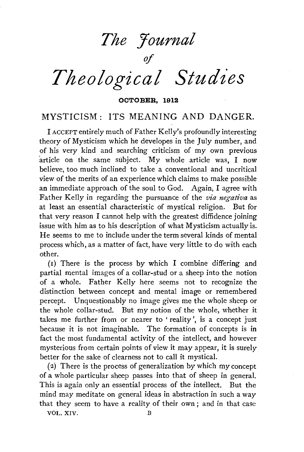## *The Yournal*

of

## *Theological Studies*

**OCTOBER, 1912** 

## MYSTICISM: ITS MEANING AND DANGER.

I ACCEPT entirely much of Father Kelly's profoundly interesting theory of Mysticism which he developes in the July number, and of his very kind and searching criticism of my own previous article on the same subject. My whole article was, I now believe, too much inclined to take a conventional and uncritical view of the merits of an experience which claims to make possible an immediate approach of the soul to God. Again, I agree with Father Kelly in regarding the pursuance of the *via negativa* as at least an essential characteristic of mystical religion. But for that very reason I cannot help with the greatest diffidence joining issue with him as to his description of what Mysticism actually is. He seems to me to include under the term several kinds of mental process which, as a matter of fact, have very little to do with each other.

(1) There is the process by which I combine differing and partial mental images of a collar-stud or a sheep into the notion of a whole. Father Kelly here seems not to recognize the distinction between concept and mental image or remembered percept. Unquestionably no image gives me the whole sheep or the whole collar-stud. But my notion of the whole, whether it takes me further from or nearer to 'reality', is a concept just because it is not imaginable. The formation of concepts is in fact the most fundamental activity of the intellect, and however mysterious from certain points of view it may appear, it is surely better for the sake of clearness not to call it mystical.

*(* 2) There is the process of generalization by which my concept of a whole particular sheep passes into that of sheep in general. This is again only an essential process of the intellect. But the mind may meditate on general ideas in abstraction in such a way that they seem to have a reality of their own; and in that case

VOL. XIV. B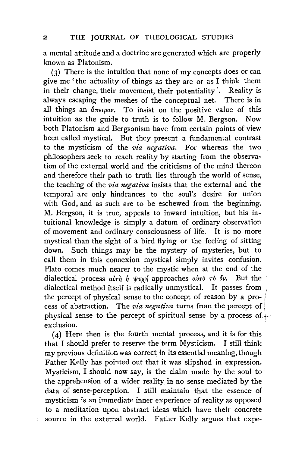a mental attitude and a doctrine are generated which are properly known as Platonism.

(3) There is the intuition that none of my concepts does or can give me 'the actuality of things as they are or as I think them in their change, their movement, their potentiality'. Reality is always escaping the meshes of the conceptual net. There is in all things an  $\tilde{a}_{\pi\epsilon\iota\rho o\nu}$ . To insist on the positive value of this intuition as the guide to truth is to follow M. Bergson. Now both Platonism and Bergsonism have from certain points of view been called mystical. But they present a fundamental contrast to the mysticism of the *via negativa*. For whereas the two philosophers seek to reach reality by starting from the observation of the external world and the criticisms of the mind thereon and therefore their path to truth lies through the world of sense, the teaching of the *via negativa* insists that the external and the temporal are only hindrances to the soul's desire for union with God, and as such are to be eschewed from the beginning. M. Bergson, it is true, appeals to inward intuition, but his intuitional knowledge is simply a datum of ordinary observation of movement and ordinary consciousness of life. It is no more mystical than the sight of a bird flying or the feeling of sitting down. Such things may be the mystery of mysteries, but to call them in this connexion mystical simply invites confusion. Plato comes much nearer to the mystic when at the end of the dialectical process  $a\dot{v}\dot{r}$   $\dot{\eta}$   $\psi v\chi\dot{\eta}$  approaches  $a\dot{v}\dot{\tau}$   $\dot{\sigma}$   $\dot{\delta}v$ . But the dialectical method itself is radically unmystical. It passes from the percept of physical sense to the concept of reason by a process of abstraction. The *via negativa* turns from the percept of physical sense to the percept of spiritual sense by a process of exclusion.

(4) Here then is the fourth mental process, and it is for this that I should prefer to reserve the term Mysticism. I still think my previous definition was correct in its essential meaning, though Father Kelly has pointed out that it was slipshod in expression. Mysticism, I should now say, is the claim made by the soul to  $\sim$ the apprehension of a wider reality in no sense mediated by the data of sense-perception. I still maintain that the essence of mysticism is an immediate inner experience of reality as opposed to a meditation upon abstract ideas which have their concrete source in the external world. Father Kelly argues that expe-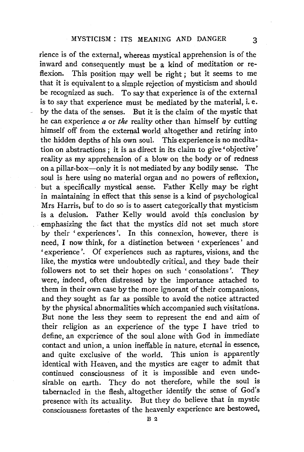rience is of the external, whereas mystical apprehension is of the inward and consequently must be a kind of meditation or reflexion. This position may well be right; but it seems to me that it is equivalent to a simple rejection of mysticism and should be recognized as such. To say that experience is of the external is to say that experience must be mediated by the material, i. e. by the data of the senses. But it is the claim of the mystic that he can experience *a* or *the* reality other than himself by cutting himself off from the external world. altogether and retiring into the hidden depths of his own soul. This experience is no meditation on abstractions ; it is as direct in its claim to give' objective' reality as my apprehension of a blow on the body or of redness on a pillar-box-only it is not mediated by any bodily sense. The soul is here using no material organ and no powers of reflexion, but a specifically mystical sense. Father Kelly may be right in maintaining in effect that this sense is a kind of psychological Mrs Harris, but to do so is to assert categorically that mysticism is a delusion. Father Kelly would avoid this conclusion by emphasizing the fact that the mystics did not set much store by their 'experiences'. In this connexion, however, there is need, I now think, for a distinction between ' experiences ' and 'experience'. Of experiences such as raptures, visions, and the like, the mystics were undoubtedly critical, and they bade their followers not to set their hopes on such 'consolations'. They were, indeed, often distressed by the importance attached to them in their own case by the more ignorant of their companions, and they sought as far as possible to avoid the notice attracted by the physical abnormalities which accompanied such visitations. But none the less they seem to represent the end and aim of their religion as an experience of the type I have tried to define, an experience of the soul alone with God in immediate contact and union, a union ineffable in nature, eternal in essence, and quite exclusive of the world. This union is apparently identical with Heaven, and the mystics are eager to admit that continued consciousness of it is impossible and even undesirable on earth. They do not therefore, while the soul is tabernacled in the flesh, altogether identify the sense of God's presence with its actuality. But they do believe that in mystic consciousness foretastes of the heavenly experience are bestowed,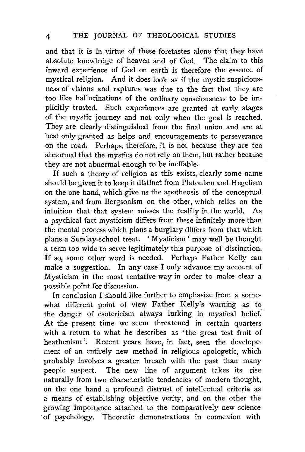and that it is in virtue of these foretastes alone that they have absolute knowledge of heaven and of God. The claim to this inward experience of God on earth is therefore the essence of mystical religion. And it does look as if the mystic suspiciousness of visions and raptures was due to the fact that they are too like hallucinations of the ordinary consciousness to be implicitly trusted. Such experiences are granted at early stages of the mystic journey and not only when the goal is reached. They are clearly distinguished from the final union and are at best only granted as helps and encouragements to perseverance on the road. Perhaps, therefore, it is not because they are too abnormal that the mystics do not rely on them, but rather because they are not abnormal enough to be ineffable.

If such a theory of religion as this exists, clearly some name should be given it to keep it distinct from Platonism and Hegelism on the one hand, which give us the apotheosis of the conceptual system, and from Bergsonism on the other, which relies on the intuition that that system misses the reality in the world. As a psychical fact mysticism differs from these infinitely more than the mental process which plans a burglary differs from that which plans a Sunday-school treat. 'Mysticism' may well be thought a term too wide to serve legitimately this purpose of distinction. If so, some other word is needed. Perhaps Father Kelly can make a suggestion. In any case I only advance my account of Mysticism in the most tentative way in order to make clear a possible point for discussion.

In conclusion I should like further to emphasize from a somewhat different point of view Father Kelly's warning as to the danger of esotericism always lurking in mystical belief. At the present time we seem threatened in certain quarters with a return to what he describes as 'the great test fruit of heathenism'. Recent years have, in fact, seen the developement of an entirely new method in religious apologetic, which probably involves a greater breach with the past than many people suspect. The new line of argument takes its rise naturally from two characteristic tendencies of modern thought, on the one hand a profound distrust of intellectual criteria as a means of establishing objective verity, and on the other the growing importance attached to the comparatively new science ·of psychology. Theoretic demonstrations in connexion with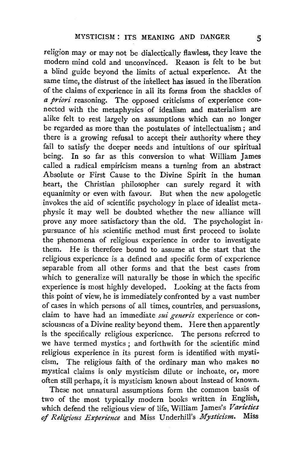religion may or may not be dialectically flawless, they leave the modern mind cold and unconvinced. Reason is felt to be but a blind guide beyond the limits of actual experience. At the same time, the distrust of the intellect has issued in the liberation of the claims of experience in all its forms from the shackles of *a priori* reasoning. The opposed criticisms of experience connected with the metaphysics of idealism and materialism are alike felt to rest largely on assumptions which can no longer be regarded as more than the postulates of intellectualism ; and there is a growing refusal to accept their authority where they fail to satisfy the deeper needs and intuitions of our spiritual being. In so far as this conversion to what William James called a radical empiricism means a turning from an abstract Absolute or First Cause to the Divine Spirit in the human heart, the Christian philosopher can surely regard it with equanimity or even with favour. But when the new apologetic invokes the aid of scientific psychology in place of idealist metaphysic it may well be doubted whether the new alliance will prove any more satisfactory than the old. The psychologist inpursuance of his scientific method must first proceed to isolate the phenomena of religious experience in order to investigate them. He is therefore bound to assume at the start that the religious experience is a defined and specific form of experience separable from all other forms and that the best cases from which to generalize will naturally be those in which the specific experience is most highly developed. Looking at the facts from this point of view, he is immediately confronted by a vast number of cases in which persons of all times, countries, and persuasions, claim to have had an immediate *sui generis* experience or consciousness of a Divine reality beyond them. Here then apparently is the specifically religious experience. The persons referred to we have termed mystics ; and forthwith for the scientific mind religious experience in its purest form is identified with mysticism. The religious faith of the ordinary man who makes no mystical claims is only mysticism dilute or inchoate, or, more often still perhaps, it is mysticism known about instead of known.

These not unnatural assumptions form the common basis of two of the most typically modern books written in English, which defend the religious view of life, William James's Varieties *of Religious Experience* and Miss Underhill's *Mysticism.* Miss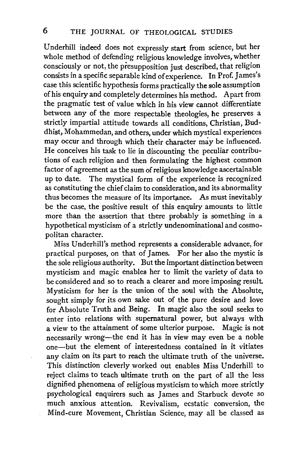Underhill indeed does not expressly start from science, but her whole method of defending religious knowledge involves, whether consciously or not, the presupposition just described, that religion consists in a specific separable kind of experience. In Prof. James's case this scientific hypothesis forms practically the sole assumption of his enquiry and completely determines his method. Apart from the pragmatic test of value which in his view cannot differentiate between any of the more respectable theologies, he preserves a strictly impartial attitude towards all conditions, Christian, Buddhist, Mohammedan, and others, under which mystical experiences may occur and through which their character may be influenced. He conceives his task to lie in discounting the peculiar contributions of each religion and then formulating the highest common factor of agreement as the sum of religious knowledge ascertainable up to date. The mystical form of the experience is recognized as constituting the chief claim to consideration, and its abnormality thus becomes the measure of its importance. As must inevitably be the case, the positive result of this enquiry amounts to little more than the assertion that there probably is something in a hypothetical mysticism of a strictly undenominational and cosmopolitan character.

Miss Underhill's method represents a considerable advance, for practical purposes, on that of James. For her also the mystic is the sole religious authority. But the important distinction between mysticism and magic enables her to limit the variety of data to be considered and so to reach a clearer and more imposing result. Mysticism for her is the union of the soul with the Absolute, sought simply for its own sake out of the pure desire and love for Absolute Truth and Being. In magic also the soul seeks to enter into relations with supernatural power, but always with a view to the attainment of some ulterior purpose. Magic is not necessarily wrong-the end it has in view may even be a noble one-but the element of interestedness contained in it vitiates any claim on its part to reach the ultimate truth of the universe. This distinction cleverly worked out enables Miss Underhill to reject claims to teach ultimate truth on the part of all the less dignified phenomena of religious mysticism to which more strictly psychological enquirers such as James and Starbuck devote so much anxious attention. Revivalism, ecstatic conversion, the Mind-cure Movement, Christian Science, may all be classed as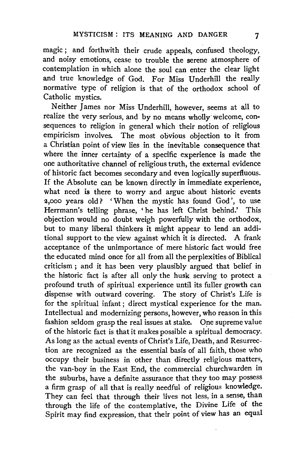magic ; and forthwith their crude appeals, confused theology, and noisy emotions, cease to trouble the serene atmosphere of contemplation in which alone the soul can enter the clear light and true knowledge of God. For Miss Underhill the really normative type of religion is that of the orthodox school of Catholic mystics.

Neither James nor Miss Underhill, however, seems at all to realize the very serious, and by no means wholly welcome, consequences to religion in general which their notion of religious empiricism involves. The most obvious objection to it from a Christian point of view lies in the inevitable consequence that where the inner certainty of a specific experience is made the one authoritative channel of religious truth, the external evidence of historic fact becomes secondary and even logically superfluous. If the Absolute can be known directly in immediate experience, what need is there to worry and argue about historic events ~,ooo years old ? ' When the mystic has found God', to use Herrmann's telling phrase, ' he has left Christ behind.' This objection would no doubt weigh powerfully with the orthodox, but to many liberal thinkers it might appear to lend an additional support to the view against which it is directed. A frank acceptance of the unimportance of mere historic fact would free the educated mind once for all from all the perplexities of Biblical criticism ; and it has been very plausibly argued that belief in the historic fact is after all only the husk serving to protect a profound truth of spiritual experience until its fuller growth can dispense with outward covering. The story of Christ's Life is for the spiritual infant ; direct mystical experience for the man. Intellectual and modernizing persons, however, who reason in this fashion seldom grasp the real issues at stake. One supreme value of the historic fact is that it makes possible a spiritual democracy. As long as the actual events of Christ's Life, Death, and Resurrection are recognized as the essential basis of all faith, those who occupy their business in other than directly religious matters, the van-boy in the East End, the commercial churchwarden in the suburbs, have a definite assurance that they too may possess a firm grasp of all that is really needful of religious knowledge. They can feel that through their lives not less, in a sense, than through the life of the contemplative, the Divine Life of the Spirit may find expression, that their point of view has an equal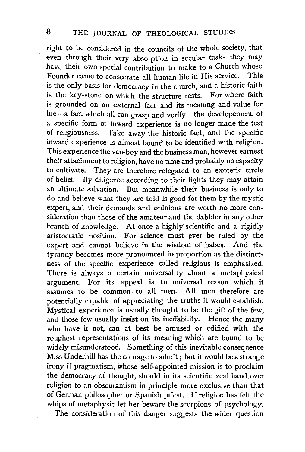right to be considered in the councils of the whole society, that even through their very absorption in secular tasks they may have their own special contribution to make to a Church whose Founder came to consecrate all human life in His service. This is the only basis for democracy in the church, and a historic faith is the key-stone on which the structure rests. For where faith is grounded on an external fact and its meaning and value for life-a fact which all can grasp and verify-the developement of a specific form of inward experience is no longer made the test of religiousness. Take away the historic fact, and the specific inward experience is almost bound to be identified with religion. This experience the van-boy and the business man, however earnest their attachment to religion, have no time and probably no capacity to cultivate. They are therefore relegated to an exoteric circle of belief. By diligence according to their lights they may attain an ultimate salvation. But meanwhile their business is only to do and believe what they are told is good for them by the mystic expert, and their demands and opinions are worth no more consideration than those of the amateur and the dabbler in any other branch of knowledge. At once a highly scientific and a rigidly aristocratic position. For science must ever be ruled by the expert and cannot believe in the wisdom of babes. And the tyranny becomes more pronounced in proportion as the distinctness of the specific experience called religious is emphasized. There is always a certain universality about a metaphysical argument. For its appeal is to universal reason which it assumes to be common to all men. All men therefore are potentially capable of appreciating the truths it would establish. Mystical experience is usually thought to be the gift of the few, $\sim$ and those few usually insist on its ineffability. Hence the many who have it not, can at best be amused or edified with the roughest representations of its meaning which are bound to be widely misunderstood. Something of this inevitable consequence Miss Underhill has the courage to admit ; but it would be a strange irony if pragmatism, whose self-appointed mission is to proclaim the democracy of thought, should in its scientific zeal hand over religion to an obscurantism in principle more exclusive than that of German philosopher or Spanish priest. If religion has felt the whips of metaphysic let her beware the scorpions of psychology.

The consideration of this danger suggests the wider question